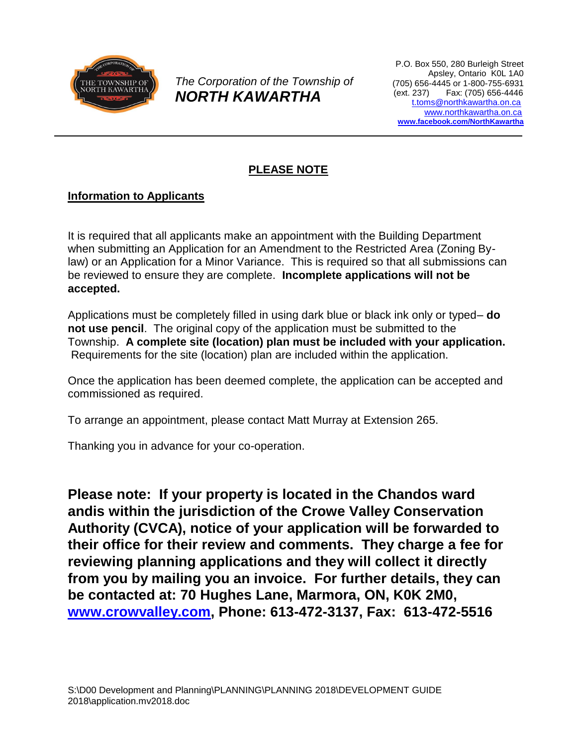

*The Corporation of the Township of NORTH KAWARTHA*

P.O. Box 550, 280 Burleigh Street Apsley, Ontario K0L 1A0 (705) 656-4445 or 1-800-755-6931 (ext. 237) Fax: (705) 656-4446 [t.toms@northkawartha.on.ca](mailto:t.toms@northkawartha.on.ca) [www.northkawartha.on.ca](http://www.northkawartha.on.ca/) **[www.facebook.com/NorthKawartha](http://www.facebook.com/NorthKawartha)**

### **PLEASE NOTE**

#### **Information to Applicants**

It is required that all applicants make an appointment with the Building Department when submitting an Application for an Amendment to the Restricted Area (Zoning Bylaw) or an Application for a Minor Variance. This is required so that all submissions can be reviewed to ensure they are complete. **Incomplete applications will not be accepted.**

Applications must be completely filled in using dark blue or black ink only or typed– **do not use pencil**. The original copy of the application must be submitted to the Township. **A complete site (location) plan must be included with your application.** Requirements for the site (location) plan are included within the application.

Once the application has been deemed complete, the application can be accepted and commissioned as required.

To arrange an appointment, please contact Matt Murray at Extension 265.

Thanking you in advance for your co-operation.

**Please note: If your property is located in the Chandos ward andis within the jurisdiction of the Crowe Valley Conservation Authority (CVCA), notice of your application will be forwarded to their office for their review and comments. They charge a fee for reviewing planning applications and they will collect it directly from you by mailing you an invoice. For further details, they can be contacted at: 70 Hughes Lane, Marmora, ON, K0K 2M0, [www.crowvalley.com,](http://www.crowvalley.com/) Phone: 613-472-3137, Fax: 613-472-5516**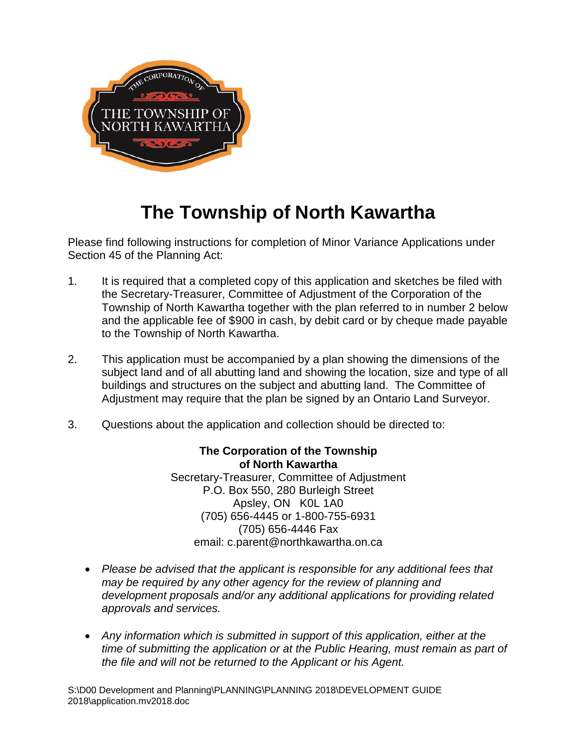

# **The Township of North Kawartha**

Please find following instructions for completion of Minor Variance Applications under Section 45 of the Planning Act:

- 1. It is required that a completed copy of this application and sketches be filed with the Secretary-Treasurer, Committee of Adjustment of the Corporation of the Township of North Kawartha together with the plan referred to in number 2 below and the applicable fee of \$900 in cash, by debit card or by cheque made payable to the Township of North Kawartha.
- 2. This application must be accompanied by a plan showing the dimensions of the subject land and of all abutting land and showing the location, size and type of all buildings and structures on the subject and abutting land. The Committee of Adjustment may require that the plan be signed by an Ontario Land Surveyor.
- 3. Questions about the application and collection should be directed to:

**The Corporation of the Township of North Kawartha** Secretary-Treasurer, Committee of Adjustment P.O. Box 550, 280 Burleigh Street Apsley, ON K0L 1A0 (705) 656-4445 or 1-800-755-6931 (705) 656-4446 Fax email: c.parent@northkawartha.on.ca

- Please be advised that the applicant is responsible for any additional fees that *may be required by any other agency for the review of planning and development proposals and/or any additional applications for providing related approvals and services.*
- *Any information which is submitted in support of this application, either at the time of submitting the application or at the Public Hearing, must remain as part of the file and will not be returned to the Applicant or his Agent.*

S:\D00 Development and Planning\PLANNING\PLANNING 2018\DEVELOPMENT GUIDE 2018\application.mv2018.doc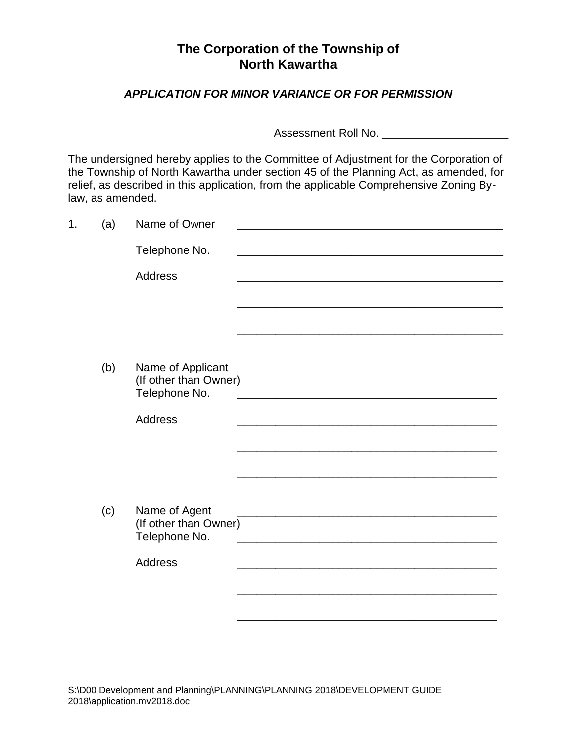## **The Corporation of the Township of North Kawartha**

#### *APPLICATION FOR MINOR VARIANCE OR FOR PERMISSION*

Assessment Roll No. \_\_\_\_\_\_\_\_\_\_\_\_\_\_\_\_\_\_\_\_

The undersigned hereby applies to the Committee of Adjustment for the Corporation of the Township of North Kawartha under section 45 of the Planning Act, as amended, for relief, as described in this application, from the applicable Comprehensive Zoning Bylaw, as amended.

| 1. | (a) | Name of Owner                                               |                                                                                                                                                                                                                                                |
|----|-----|-------------------------------------------------------------|------------------------------------------------------------------------------------------------------------------------------------------------------------------------------------------------------------------------------------------------|
|    |     | Telephone No.                                               |                                                                                                                                                                                                                                                |
|    |     | <b>Address</b>                                              |                                                                                                                                                                                                                                                |
|    |     |                                                             |                                                                                                                                                                                                                                                |
|    |     |                                                             |                                                                                                                                                                                                                                                |
|    |     |                                                             |                                                                                                                                                                                                                                                |
|    | (b) | Name of Applicant<br>(If other than Owner)<br>Telephone No. | <u> 1989 - Jan James James James James James James James James James James James James James James James James J</u><br><u> 1989 - Johann Barbara, margaret eta idazlearia (h. 1989).</u>                                                      |
|    |     | <b>Address</b>                                              |                                                                                                                                                                                                                                                |
|    |     |                                                             |                                                                                                                                                                                                                                                |
|    |     |                                                             |                                                                                                                                                                                                                                                |
|    |     |                                                             |                                                                                                                                                                                                                                                |
|    | (c) | Name of Agent<br>(If other than Owner)<br>Telephone No.     | <u> 1989 - Johann Harry Harry Harry Harry Harry Harry Harry Harry Harry Harry Harry Harry Harry Harry Harry Harry</u><br><u> 1989 - Johann Stoff, deutscher Stoff, der Stoff, der Stoff, der Stoff, der Stoff, der Stoff, der Stoff, der S</u> |
|    |     | <b>Address</b>                                              |                                                                                                                                                                                                                                                |
|    |     |                                                             |                                                                                                                                                                                                                                                |
|    |     |                                                             |                                                                                                                                                                                                                                                |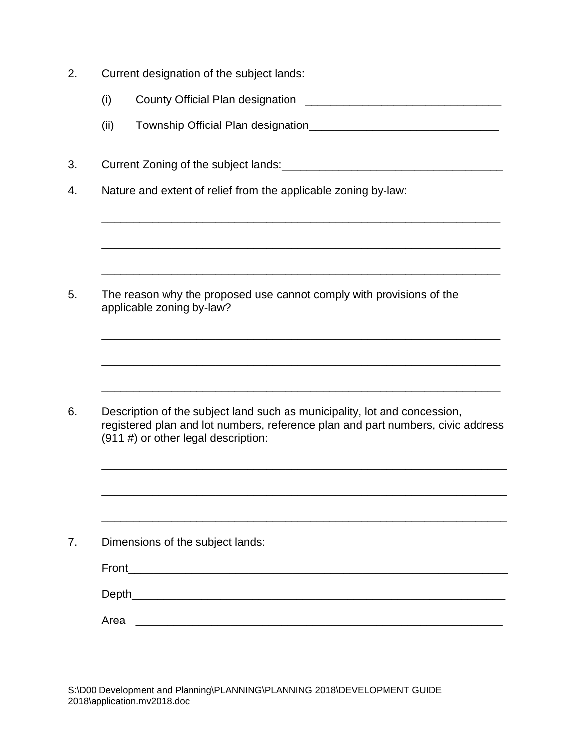- 2. Current designation of the subject lands:
	- (i) County Official Plan designation \_\_\_\_\_\_\_\_\_\_\_\_\_\_\_\_\_\_\_\_\_\_\_\_\_\_\_\_\_\_\_

\_\_\_\_\_\_\_\_\_\_\_\_\_\_\_\_\_\_\_\_\_\_\_\_\_\_\_\_\_\_\_\_\_\_\_\_\_\_\_\_\_\_\_\_\_\_\_\_\_\_\_\_\_\_\_\_\_\_\_\_\_\_\_

\_\_\_\_\_\_\_\_\_\_\_\_\_\_\_\_\_\_\_\_\_\_\_\_\_\_\_\_\_\_\_\_\_\_\_\_\_\_\_\_\_\_\_\_\_\_\_\_\_\_\_\_\_\_\_\_\_\_\_\_\_\_\_

\_\_\_\_\_\_\_\_\_\_\_\_\_\_\_\_\_\_\_\_\_\_\_\_\_\_\_\_\_\_\_\_\_\_\_\_\_\_\_\_\_\_\_\_\_\_\_\_\_\_\_\_\_\_\_\_\_\_\_\_\_\_\_

\_\_\_\_\_\_\_\_\_\_\_\_\_\_\_\_\_\_\_\_\_\_\_\_\_\_\_\_\_\_\_\_\_\_\_\_\_\_\_\_\_\_\_\_\_\_\_\_\_\_\_\_\_\_\_\_\_\_\_\_\_\_\_

\_\_\_\_\_\_\_\_\_\_\_\_\_\_\_\_\_\_\_\_\_\_\_\_\_\_\_\_\_\_\_\_\_\_\_\_\_\_\_\_\_\_\_\_\_\_\_\_\_\_\_\_\_\_\_\_\_\_\_\_\_\_\_

\_\_\_\_\_\_\_\_\_\_\_\_\_\_\_\_\_\_\_\_\_\_\_\_\_\_\_\_\_\_\_\_\_\_\_\_\_\_\_\_\_\_\_\_\_\_\_\_\_\_\_\_\_\_\_\_\_\_\_\_\_\_\_

\_\_\_\_\_\_\_\_\_\_\_\_\_\_\_\_\_\_\_\_\_\_\_\_\_\_\_\_\_\_\_\_\_\_\_\_\_\_\_\_\_\_\_\_\_\_\_\_\_\_\_\_\_\_\_\_\_\_\_\_\_\_\_\_

\_\_\_\_\_\_\_\_\_\_\_\_\_\_\_\_\_\_\_\_\_\_\_\_\_\_\_\_\_\_\_\_\_\_\_\_\_\_\_\_\_\_\_\_\_\_\_\_\_\_\_\_\_\_\_\_\_\_\_\_\_\_\_\_

\_\_\_\_\_\_\_\_\_\_\_\_\_\_\_\_\_\_\_\_\_\_\_\_\_\_\_\_\_\_\_\_\_\_\_\_\_\_\_\_\_\_\_\_\_\_\_\_\_\_\_\_\_\_\_\_\_\_\_\_\_\_\_\_

- (ii) Township Official Plan designation
- 3. Current Zoning of the subject lands:\_\_\_\_\_\_\_\_\_\_\_\_\_\_\_\_\_\_\_\_\_\_\_\_\_\_\_\_\_\_\_\_\_\_\_
- 4. Nature and extent of relief from the applicable zoning by-law:

5. The reason why the proposed use cannot comply with provisions of the applicable zoning by-law?

6. Description of the subject land such as municipality, lot and concession, registered plan and lot numbers, reference plan and part numbers, civic address (911 #) or other legal description:

7. Dimensions of the subject lands: Front\_\_\_\_\_\_\_\_\_\_\_\_\_\_\_\_\_\_\_\_\_\_\_\_\_\_\_\_\_\_\_\_\_\_\_\_\_\_\_\_\_\_\_\_\_\_\_\_\_\_\_\_\_\_\_\_\_\_\_\_ Depth\_\_\_\_\_\_\_\_\_\_\_\_\_\_\_\_\_\_\_\_\_\_\_\_\_\_\_\_\_\_\_\_\_\_\_\_\_\_\_\_\_\_\_\_\_\_\_\_\_\_\_\_\_\_\_\_\_\_\_ Area \_\_\_\_\_\_\_\_\_\_\_\_\_\_\_\_\_\_\_\_\_\_\_\_\_\_\_\_\_\_\_\_\_\_\_\_\_\_\_\_\_\_\_\_\_\_\_\_\_\_\_\_\_\_\_\_\_\_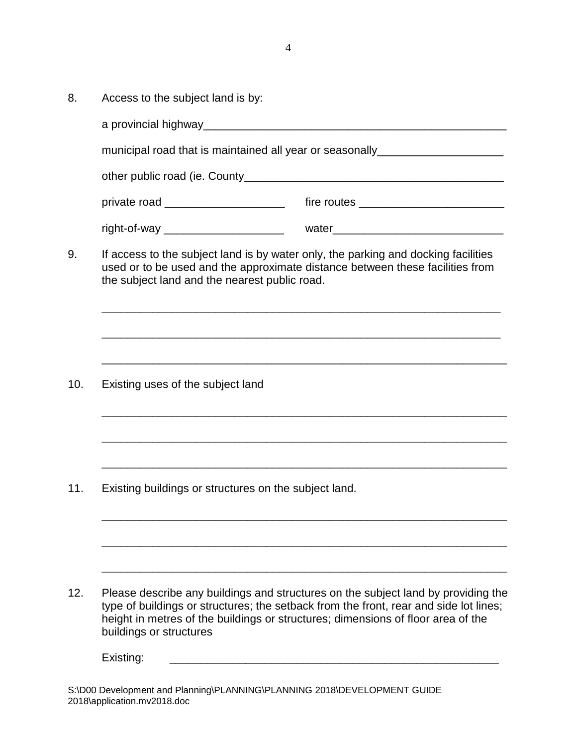8. Access to the subject land is by:

| a provincial highway and the contract of the contract of the contract of the contract of the contract of the contract of the contract of the contract of the contract of the contract of the contract of the contract of the c<br>municipal road that is maintained all year or seasonally <b>contained any contract of the set of the set of the s</b> |                                                                                                                                                                                                                                                                |  |  |  |                                      |  |
|---------------------------------------------------------------------------------------------------------------------------------------------------------------------------------------------------------------------------------------------------------------------------------------------------------------------------------------------------------|----------------------------------------------------------------------------------------------------------------------------------------------------------------------------------------------------------------------------------------------------------------|--|--|--|--------------------------------------|--|
|                                                                                                                                                                                                                                                                                                                                                         |                                                                                                                                                                                                                                                                |  |  |  | private road _______________________ |  |
|                                                                                                                                                                                                                                                                                                                                                         |                                                                                                                                                                                                                                                                |  |  |  |                                      |  |
| If access to the subject land is by water only, the parking and docking facilities<br>used or to be used and the approximate distance between these facilities from<br>the subject land and the nearest public road.                                                                                                                                    |                                                                                                                                                                                                                                                                |  |  |  |                                      |  |
|                                                                                                                                                                                                                                                                                                                                                         |                                                                                                                                                                                                                                                                |  |  |  |                                      |  |
| Existing uses of the subject land                                                                                                                                                                                                                                                                                                                       |                                                                                                                                                                                                                                                                |  |  |  |                                      |  |
|                                                                                                                                                                                                                                                                                                                                                         | <u> 1989 - Johann Stoff, deutscher Stoff, der Stoff, der Stoff, der Stoff, der Stoff, der Stoff, der Stoff, der S</u>                                                                                                                                          |  |  |  |                                      |  |
| Existing buildings or structures on the subject land.                                                                                                                                                                                                                                                                                                   |                                                                                                                                                                                                                                                                |  |  |  |                                      |  |
|                                                                                                                                                                                                                                                                                                                                                         | Please describe any buildings and structures on the subject land by providing the<br>type of buildings or structures; the setback from the front, rear and side lot lines;<br>height in metres of the buildings or structures; dimensions of floor area of the |  |  |  |                                      |  |

Existing:

S:\D00 Development and Planning\PLANNING\PLANNING 2018\DEVELOPMENT GUIDE 2018\application.mv2018.doc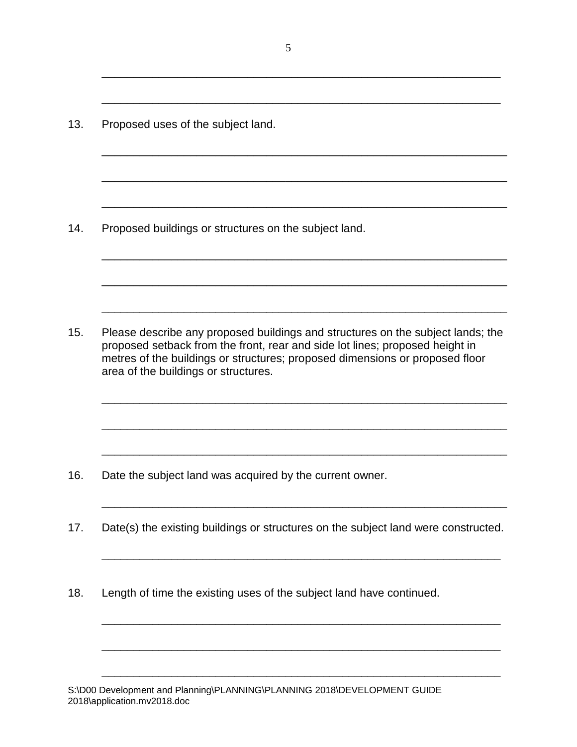5

\_\_\_\_\_\_\_\_\_\_\_\_\_\_\_\_\_\_\_\_\_\_\_\_\_\_\_\_\_\_\_\_\_\_\_\_\_\_\_\_\_\_\_\_\_\_\_\_\_\_\_\_\_\_\_\_\_\_\_\_\_\_\_

\_\_\_\_\_\_\_\_\_\_\_\_\_\_\_\_\_\_\_\_\_\_\_\_\_\_\_\_\_\_\_\_\_\_\_\_\_\_\_\_\_\_\_\_\_\_\_\_\_\_\_\_\_\_\_\_\_\_\_\_\_\_\_

\_\_\_\_\_\_\_\_\_\_\_\_\_\_\_\_\_\_\_\_\_\_\_\_\_\_\_\_\_\_\_\_\_\_\_\_\_\_\_\_\_\_\_\_\_\_\_\_\_\_\_\_\_\_\_\_\_\_\_\_\_\_\_\_

\_\_\_\_\_\_\_\_\_\_\_\_\_\_\_\_\_\_\_\_\_\_\_\_\_\_\_\_\_\_\_\_\_\_\_\_\_\_\_\_\_\_\_\_\_\_\_\_\_\_\_\_\_\_\_\_\_\_\_\_\_\_\_\_

\_\_\_\_\_\_\_\_\_\_\_\_\_\_\_\_\_\_\_\_\_\_\_\_\_\_\_\_\_\_\_\_\_\_\_\_\_\_\_\_\_\_\_\_\_\_\_\_\_\_\_\_\_\_\_\_\_\_\_\_\_\_\_\_

\_\_\_\_\_\_\_\_\_\_\_\_\_\_\_\_\_\_\_\_\_\_\_\_\_\_\_\_\_\_\_\_\_\_\_\_\_\_\_\_\_\_\_\_\_\_\_\_\_\_\_\_\_\_\_\_\_\_\_\_\_\_\_\_

\_\_\_\_\_\_\_\_\_\_\_\_\_\_\_\_\_\_\_\_\_\_\_\_\_\_\_\_\_\_\_\_\_\_\_\_\_\_\_\_\_\_\_\_\_\_\_\_\_\_\_\_\_\_\_\_\_\_\_\_\_\_\_\_

\_\_\_\_\_\_\_\_\_\_\_\_\_\_\_\_\_\_\_\_\_\_\_\_\_\_\_\_\_\_\_\_\_\_\_\_\_\_\_\_\_\_\_\_\_\_\_\_\_\_\_\_\_\_\_\_\_\_\_\_\_\_\_\_

\_\_\_\_\_\_\_\_\_\_\_\_\_\_\_\_\_\_\_\_\_\_\_\_\_\_\_\_\_\_\_\_\_\_\_\_\_\_\_\_\_\_\_\_\_\_\_\_\_\_\_\_\_\_\_\_\_\_\_\_\_\_\_\_

\_\_\_\_\_\_\_\_\_\_\_\_\_\_\_\_\_\_\_\_\_\_\_\_\_\_\_\_\_\_\_\_\_\_\_\_\_\_\_\_\_\_\_\_\_\_\_\_\_\_\_\_\_\_\_\_\_\_\_\_\_\_\_\_

\_\_\_\_\_\_\_\_\_\_\_\_\_\_\_\_\_\_\_\_\_\_\_\_\_\_\_\_\_\_\_\_\_\_\_\_\_\_\_\_\_\_\_\_\_\_\_\_\_\_\_\_\_\_\_\_\_\_\_\_\_\_\_\_

\_\_\_\_\_\_\_\_\_\_\_\_\_\_\_\_\_\_\_\_\_\_\_\_\_\_\_\_\_\_\_\_\_\_\_\_\_\_\_\_\_\_\_\_\_\_\_\_\_\_\_\_\_\_\_\_\_\_\_\_\_\_\_\_

\_\_\_\_\_\_\_\_\_\_\_\_\_\_\_\_\_\_\_\_\_\_\_\_\_\_\_\_\_\_\_\_\_\_\_\_\_\_\_\_\_\_\_\_\_\_\_\_\_\_\_\_\_\_\_\_\_\_\_\_\_\_\_

\_\_\_\_\_\_\_\_\_\_\_\_\_\_\_\_\_\_\_\_\_\_\_\_\_\_\_\_\_\_\_\_\_\_\_\_\_\_\_\_\_\_\_\_\_\_\_\_\_\_\_\_\_\_\_\_\_\_\_\_\_\_\_

\_\_\_\_\_\_\_\_\_\_\_\_\_\_\_\_\_\_\_\_\_\_\_\_\_\_\_\_\_\_\_\_\_\_\_\_\_\_\_\_\_\_\_\_\_\_\_\_\_\_\_\_\_\_\_\_\_\_\_\_\_\_\_

\_\_\_\_\_\_\_\_\_\_\_\_\_\_\_\_\_\_\_\_\_\_\_\_\_\_\_\_\_\_\_\_\_\_\_\_\_\_\_\_\_\_\_\_\_\_\_\_\_\_\_\_\_\_\_\_\_\_\_\_\_\_\_

13. Proposed uses of the subject land.

14. Proposed buildings or structures on the subject land.

15. Please describe any proposed buildings and structures on the subject lands; the proposed setback from the front, rear and side lot lines; proposed height in metres of the buildings or structures; proposed dimensions or proposed floor area of the buildings or structures.

- 16. Date the subject land was acquired by the current owner.
- 17. Date(s) the existing buildings or structures on the subject land were constructed.
- 18. Length of time the existing uses of the subject land have continued.

S:\D00 Development and Planning\PLANNING\PLANNING 2018\DEVELOPMENT GUIDE 2018\application.mv2018.doc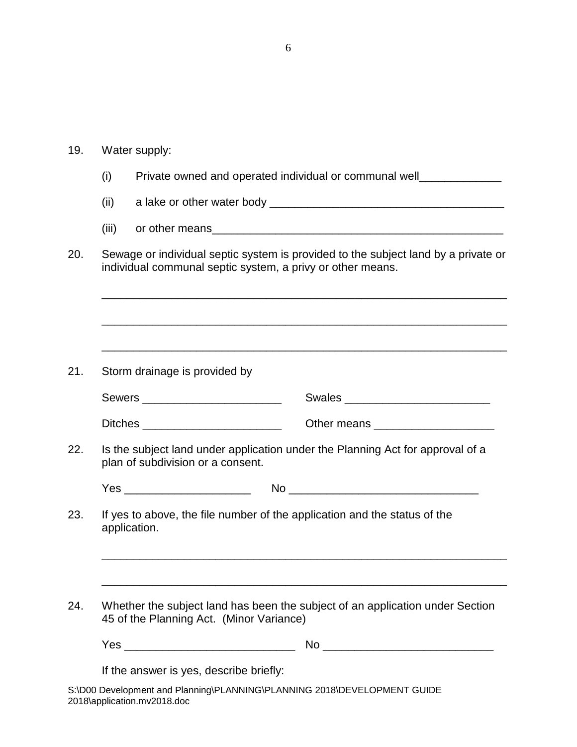| 19. | Water supply:                                                                                                                                    |                                                                                                                           |  |  |  |  |
|-----|--------------------------------------------------------------------------------------------------------------------------------------------------|---------------------------------------------------------------------------------------------------------------------------|--|--|--|--|
|     | (i)                                                                                                                                              | Private owned and operated individual or communal well_______________                                                     |  |  |  |  |
|     | (ii)                                                                                                                                             |                                                                                                                           |  |  |  |  |
|     | (iii)                                                                                                                                            |                                                                                                                           |  |  |  |  |
| 20. | Sewage or individual septic system is provided to the subject land by a private or<br>individual communal septic system, a privy or other means. |                                                                                                                           |  |  |  |  |
|     |                                                                                                                                                  |                                                                                                                           |  |  |  |  |
| 21. | Storm drainage is provided by                                                                                                                    |                                                                                                                           |  |  |  |  |
|     |                                                                                                                                                  |                                                                                                                           |  |  |  |  |
|     |                                                                                                                                                  | Ditches ____________________________<br>Other means _______________________                                               |  |  |  |  |
| 22. |                                                                                                                                                  | Is the subject land under application under the Planning Act for approval of a<br>plan of subdivision or a consent.       |  |  |  |  |
|     |                                                                                                                                                  | Yes __________________________                                                                                            |  |  |  |  |
| 23. | If yes to above, the file number of the application and the status of the<br>application.                                                        |                                                                                                                           |  |  |  |  |
|     |                                                                                                                                                  |                                                                                                                           |  |  |  |  |
| 24. |                                                                                                                                                  | Whether the subject land has been the subject of an application under Section<br>45 of the Planning Act. (Minor Variance) |  |  |  |  |
|     |                                                                                                                                                  |                                                                                                                           |  |  |  |  |
|     |                                                                                                                                                  | If the answer is yes, describe briefly:                                                                                   |  |  |  |  |
|     |                                                                                                                                                  | S:\D00 Development and Planning\PLANNING\PLANNING 2018\DEVELOPMENT GUIDE                                                  |  |  |  |  |

6

2018\application.mv2018.doc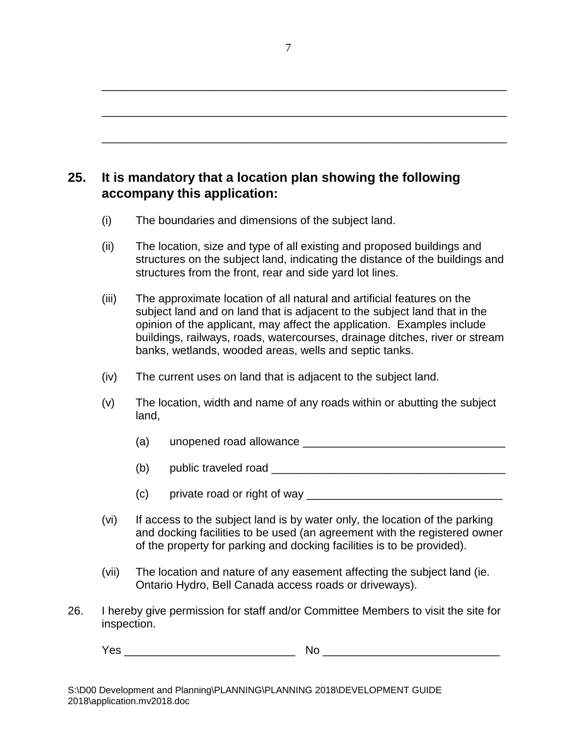## **25. It is mandatory that a location plan showing the following accompany this application:**

- (i) The boundaries and dimensions of the subject land.
- (ii) The location, size and type of all existing and proposed buildings and structures on the subject land, indicating the distance of the buildings and structures from the front, rear and side yard lot lines.
- (iii) The approximate location of all natural and artificial features on the subject land and on land that is adjacent to the subject land that in the opinion of the applicant, may affect the application. Examples include buildings, railways, roads, watercourses, drainage ditches, river or stream banks, wetlands, wooded areas, wells and septic tanks.
- (iv) The current uses on land that is adjacent to the subject land.
- (v) The location, width and name of any roads within or abutting the subject land,
	- $(a)$  unopened road allowance  $\Box$
	- (b) public traveled road  $\Box$
	- $(c)$  private road or right of way  $\Box$
- (vi) If access to the subject land is by water only, the location of the parking and docking facilities to be used (an agreement with the registered owner of the property for parking and docking facilities is to be provided).
- (vii) The location and nature of any easement affecting the subject land (ie. Ontario Hydro, Bell Canada access roads or driveways).
- 26. I hereby give permission for staff and/or Committee Members to visit the site for inspection.

| . <i>.</i><br>v<br>- | __ |
|----------------------|----|
|                      |    |

\_\_\_\_\_\_\_\_\_\_\_\_\_\_\_\_\_\_\_\_\_\_\_\_\_\_\_\_\_\_\_\_\_\_\_\_\_\_\_\_\_\_\_\_\_\_\_\_\_\_\_\_\_\_\_\_\_\_\_\_\_\_\_\_

\_\_\_\_\_\_\_\_\_\_\_\_\_\_\_\_\_\_\_\_\_\_\_\_\_\_\_\_\_\_\_\_\_\_\_\_\_\_\_\_\_\_\_\_\_\_\_\_\_\_\_\_\_\_\_\_\_\_\_\_\_\_\_\_

\_\_\_\_\_\_\_\_\_\_\_\_\_\_\_\_\_\_\_\_\_\_\_\_\_\_\_\_\_\_\_\_\_\_\_\_\_\_\_\_\_\_\_\_\_\_\_\_\_\_\_\_\_\_\_\_\_\_\_\_\_\_\_\_